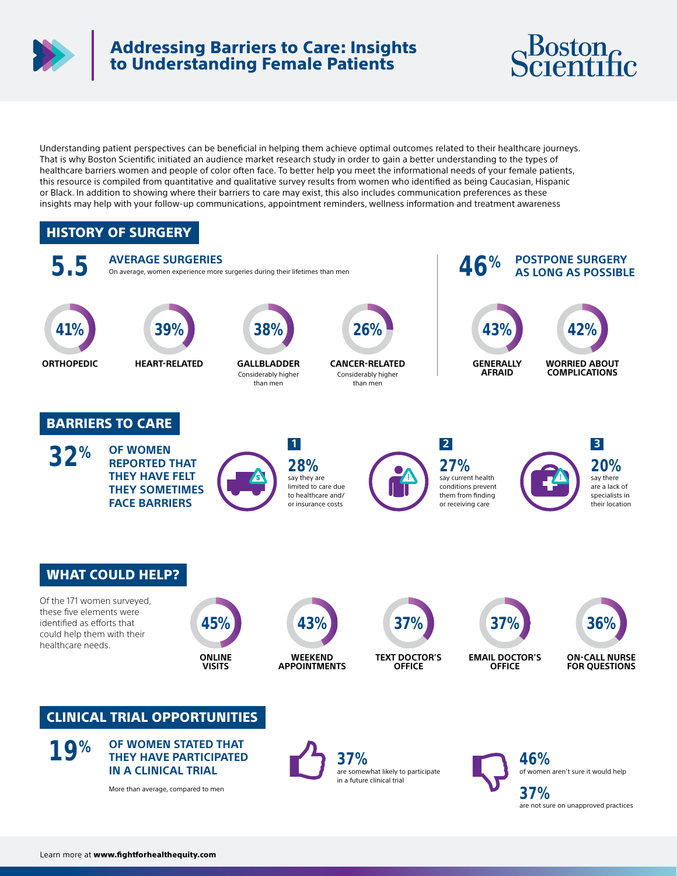

## Addressing Barriers to Care: Insights to Understanding Female Patients



Understanding patient perspectives can be beneficial in helping them achieve optimal outcomes related to their healthcare journeys. That is why Boston Scientific initiated an audience market research study in order to gain a better understanding to the types of healthcare barriers women and people of color often face. To better help you meet the informational needs of your female patients, this resource is compiled from quantitative and qualitative survey results from women who identified as being Caucasian, Hispanic or Black. In addition to showing where their barriers to care may exist, this also includes communication preferences as these insights may help with your follow-up communications, appointment reminders, wellness information and treatment awareness